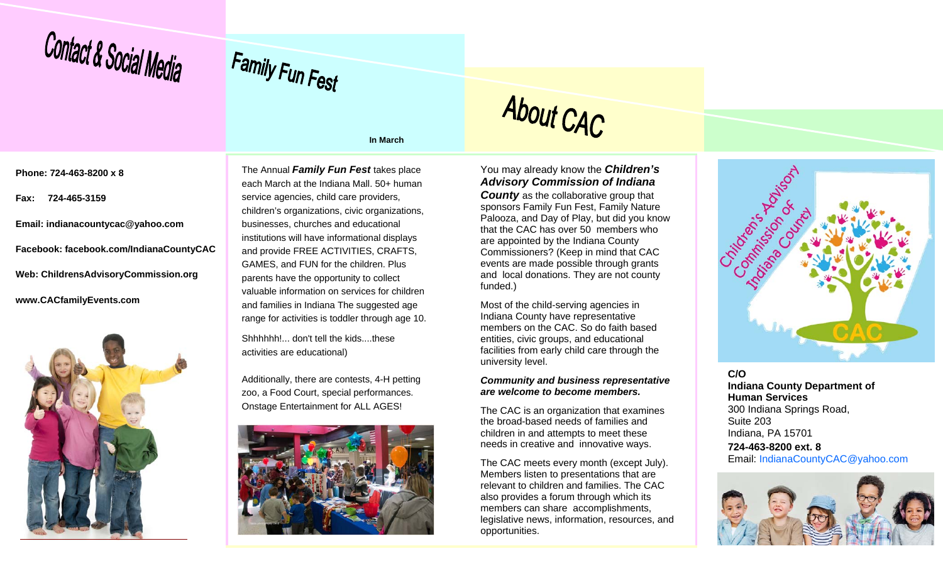



**In March** 

About CAC

**Phone: 724-463-8200 x 8** 

**Fax: 724-465-3159** 

**Email: indianacountycac@yahoo.com Facebook: facebook.com/IndianaCountyCAC Web: ChildrensAdvisoryCommission.org www.CACfamilyEvents.com** 



The Annual *Family Fun Fest* takes place each March at the Indiana Mall. 50+ human service agencies, child care providers, children's organizations, civic organizations, businesses, churches and educational institutions will have informational displays and provide FREE ACTIVITIES, CRAFTS, GAMES, and FUN for the children. Plus parents have the opportunity to collect valuable information on services for children and families in Indiana The suggested age range for activities is toddler through age 10.

Shhhhhh! don't tell the kids... these activities are educational)

Additionally, there are contests, 4-H petting zoo, a Food Court, special performances. Onstage Entertainment for ALL AGES!



You may already know the *Children's Advisory Commission of Indiana*  **County** as the collaborative group that sponsors Family Fun Fest, Family Nature Palooza, and Day of Play, but did you know that the CAC has over 50 members who are appointed by the Indiana County Commissioners? (Keep in mind that CAC events are made possible through grants and local donations. They are not county funded.)

Most of the child-serving agencies in Indiana County have representative members on the CAC. So do faith based entities, civic groups, and educational facilities from early child care through the university level.

#### *Community and business representative are welcome to become members.*

The CAC is an organization that examines the broad-based needs of families and children in and attempts to meet these needs in creative and innovative ways.

The CAC meets every month (except July). Members listen to presentations that are relevant to children and families. The CAC also provides a forum through which its members can share accomplishments, legislative news, information, resources, and opportunities.



**C/O Indiana County Department of Human Services** 300 Indiana Springs Road, Suite 203 Indiana, PA 15701 **724-463-8200 ext. 8** Email: IndianaCountyCAC@yahoo.com